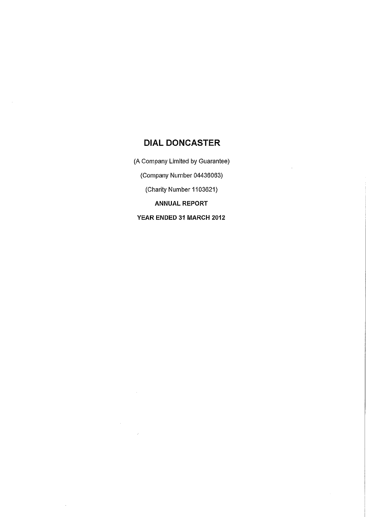(A Company Limited by Guarantee)

(Company Number 04436063)

(Charity Number 1103621)

ANNUAL REPORT

YEAR ENDED 31 MARCH 2012

 $\hat{\boldsymbol{\beta}}$ 

 $\sim$ 

 $\mathcal{L}$ 

 $\mathcal{L}_{\text{max}}$ 

l,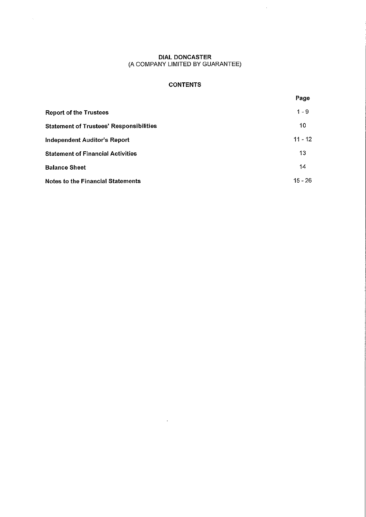$\sim$ 

 $\hat{\mathcal{A}}$ 

# **CONTENTS**

|                                                | Page      |
|------------------------------------------------|-----------|
| <b>Report of the Trustees</b>                  | $1 - 9$   |
| <b>Statement of Trustees' Responsibilities</b> | 10        |
| Independent Auditor's Report                   | $11 - 12$ |
| <b>Statement of Financial Activities</b>       | 13        |
| <b>Balance Sheet</b>                           | 14        |
| <b>Notes to the Financial Statements</b>       | $15 - 26$ |

 $\bar{\beta}$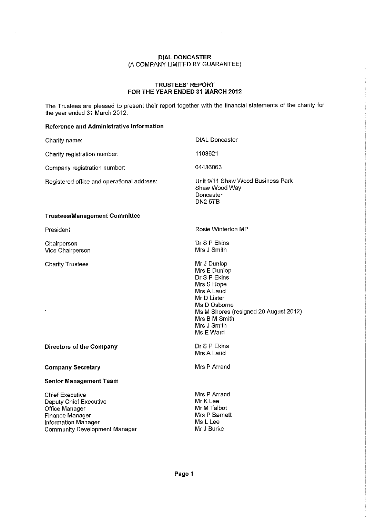### **TRUSTEES' REPORT FOR THE YEAR ENDED 31 MARCH 2012**

The Trustees are pleased to present their report together with the financial statements of the charity for the year ended 31 March 2012.

### **Reference and Administrative Information**

 $\hat{\boldsymbol{\beta}}$ 

Community Development Manager

| Charity name:                                                                                                              | <b>DIAL Doncaster</b>                                                                                                                                                                        |
|----------------------------------------------------------------------------------------------------------------------------|----------------------------------------------------------------------------------------------------------------------------------------------------------------------------------------------|
| Charity registration number:                                                                                               | 1103621                                                                                                                                                                                      |
| Company registration number:                                                                                               | 04436063                                                                                                                                                                                     |
| Registered office and operational address:                                                                                 | Unit 9/11 Shaw Wood Business Park<br>Shaw Wood Way<br>Doncaster<br>DN <sub>2</sub> 5TB                                                                                                       |
| <b>Trustees/Management Committee</b>                                                                                       |                                                                                                                                                                                              |
| President                                                                                                                  | Rosie Winterton MP                                                                                                                                                                           |
| Chairperson<br>Vice Chairperson                                                                                            | Dr S P Ekins<br>Mrs J Smith                                                                                                                                                                  |
| <b>Charity Trustees</b><br>$\tilde{\phantom{a}}$                                                                           | Mr J Dunlop<br>Mrs E Dunlop<br>Dr S P Ekins<br>Mrs S Hope<br>Mrs A Laud<br>Mr D Lister<br>Ms D Osborne<br>Ms M Shores (resigned 20 August 2012)<br>Mrs B M Smith<br>Mrs J Smith<br>Ms E Ward |
| Directors of the Company                                                                                                   | Dr S P Ekins<br>Mrs A Laud                                                                                                                                                                   |
| <b>Company Secretary</b>                                                                                                   | Mrs P Arrand                                                                                                                                                                                 |
| <b>Senior Management Team</b>                                                                                              |                                                                                                                                                                                              |
| <b>Chief Executive</b><br><b>Deputy Chief Executive</b><br>Office Manager<br>Finance Manager<br><b>Information Manager</b> | Mrs P Arrand<br>Mr K Lee<br>Mr M Talbot<br>Mrs P Barnett<br>Ms L Lee                                                                                                                         |

Mr J Burke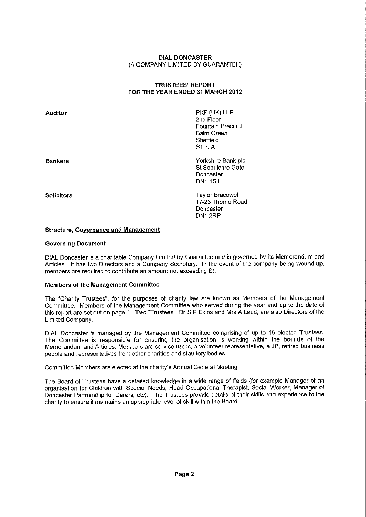# TRUSTEES' REPORT FOR THE YEAR ENDED 31 MARCH 2012

Auditor

Bankers

PKF (UK) LLP 2nd Floor Fountain Precinct Balm Green Sheffield S1 2JA

Yorkshire Bank plc St Sepulchre Gate Doncaster DN1 1SJ

**Solicitors** 

Taylor Bracewell 17-23 Thorne Road Doncaster DN1 2RP

### Structure, Governance and Management

#### Governing Document

DIAL Doncaster is a charitable Company Limited by Guarantee and is governed by its Memorandum and Articles. It has two Directors and a Company Secretary. In the event of the company being wound up, members are required to contribute an amount not exceeding £1.

### Members of the Management Committee

The "Charity Trustees", for the purposes of charity law are known as Members of the Management Committee. Members of the Management Committee who served during the year and up to the date of this report are set out on page 1. Two "Trustees", Dr S P Ekins and Mrs A Laud, are also Directors of the Limited Company.

DIAL Doncaster is managed by the Management Committee comprising of up to 15 elected Trustees. The Committee is responsible for ensuring the organisation is working within the bounds of the Memorandum and Articles. Members are service users, a volunteer representative, a JP, retired business people and representatives from other charities and statutory bodies.

Committee Members are elected at the charity's Annual General Meeting.

The Board of Trustees have a detailed knowledge in a wide range of fields (for example Manager of an organisation for Children with Special Needs, Head Occupational Therapist, Social Worker, Manager of Doncaster Partnership for Carers, etc). The Trustees provide details of their skills and experience to the charity to ensure it maintains an appropriate level of skill within the Board.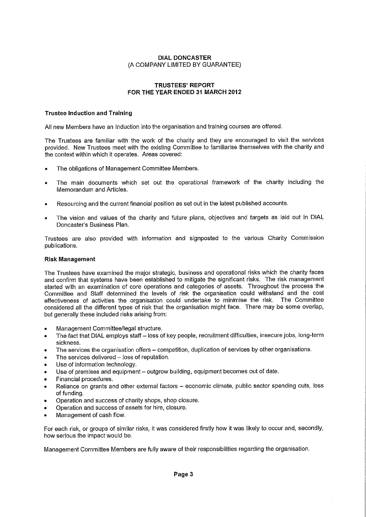### TRUSTEES' REPORT FOR THE YEAR ENDED 31 MARCH 2012

### Trustee Induction and Training

All new Members have an Induction into the organisation and training courses are offered.

The Trustees are familiar with the work of the charity and they are encouraged to visit the services provided. New Trustees meet with the existing Committee to familiarise themselves with the charity and the context within which it operates. Areas covered:

- The obligations of Management Committee Members.
- The main documents which set out the operational framework of the charity including the Memorandum and Articles.
- Resourcing and the current financial position as set out in the latest published accounts.
- The vision and values of the charity and future plans, objectives and targets as laid out in DIAL Doncaster's Business Plan.

Trustees are also provided with information and signposted to the various Charity Commission publications.

#### Risk Management

The Trustees have examined the major strategic, business and operational risks which the charity faces and confirm that systems have been established to mitigate the significant risks. The risk management started with an examination of core operations and categories of assets. Throughout the process the Committee and Staff determined the levels of risk the organisation could withstand and the cost effectiveness of activities the organisation could undertake to minimise the risk. The Committee considered all the different types of risk that the organisation might face. There may be some overlap, but generally these included risks arising from:

- Management Committee/legal structure.
- The fact that DIAL employs staff loss of key people, recruitment difficulties, insecure jobs, long-term sickness.
- The services the organisation offers competition, duplication of services by other organisations.
- The services delivered loss of reputation.
- Use of information technology.
- Use of premises and equipment outgrow building, equipment becomes out of date.
- Financial procedures.
- Reliance on grants and other external factors economic climate, public sector spending cuts, loss of funding.
- Operation and success of charity shops, shop closure.
- Operation and success of assets for hire, closure.
- Management of cash flow.

For each risk, or groups of similar risks, it was considered firstly how it was likely to occur and, secondly, how serious the impact would be.

Management Committee Members are fully aware of their responsibilities regarding the organisation.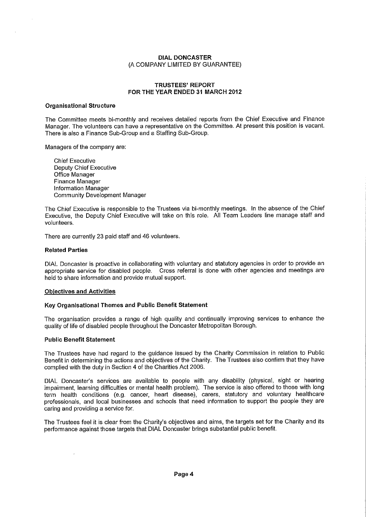### TRUSTEES' REPORT FOR THE YEAR ENDED 31 MARCH 2012

#### Organisational Structure

The Committee meets bi-monthly and receives detailed reports from the Chief Executive and Finance Manager. The volunteers can have a representative on the Committee. At present this position is vacant. There is also a Finance Sub-Group and a Staffing Sub-Group.

Managers of the company are:

Chief Executive Deputy Chief Executive Office Manager Finance Manager Information Manager Community Development Manager

The Chief Executive is responsible to the Trustees via bi-monthly meetings. In the absence of the Chief Executive, the Deputy Chief Executive will take on this role. All Team Leaders line manage staff and volunteers.

There are currently 23 paid staff and 46 volunteers.

#### Related Parties

DIAL Doncaster is proactive in collaborating with voluntary and statutory agencies in order to provide an appropriate service for disabled people. Cross referral is done with other agencies and meetings are held to share information and provide mutual support.

#### Objectives and Activities

### Key Organisational Themes and Public Benefit Statement

The organisation provides a range of high quality and continually improving services to enhance the quality of life of disabled people throughout the Doncaster Metropolitan Borough.

#### Public Benefit Statement

The Trustees have had regard to the guidance issued by the Charity Commission in relation to Public Benefit in determining the actions and objectives of the Charity. The Trustees also confirm that they have complied with the duty in Section 4 of the Charities Act 2006.

DIAL Doncaster's services are available to people with any disability (physical, sight or hearing impairment, learning difficulties or mental health problem). The service is also offered to those with long term health conditions (e.g. cancer, heart disease), carers, statutory and voluntary healthcare professionals, and local businesses and schools that need information to support the people they are caring and providing a service for.

The Trustees feel it is clear from the Charity's objectives and aims, the targets set for the Charity and its performance against those targets that DIAL Doncaster brings substantial public benefit.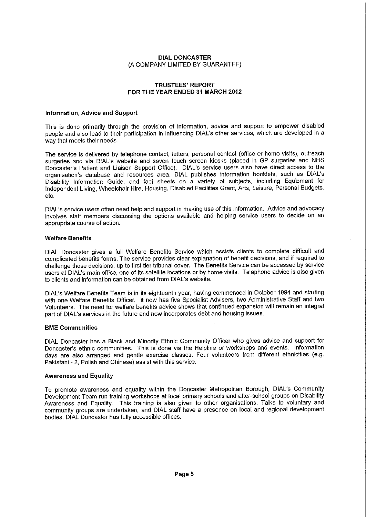### TRUSTEES' REPORT FOR THE YEAR ENDED 31 MARCH 2012

#### Information, Advice and Support

This is done primarily through the provision of information, advice and support to empower disabled people and also lead to their participation in influencing DIAL's other services, which are developed in a way that meets their needs.

The service is delivered by telephone contact, letters, personal contact (office or home visits), outreach surgeries and via DIAL's website and seven touch screen kiosks (placed in GP surgeries and NHS Doncaster's Patient and Liaison Support Office). DIAL's service users also have direct access to the organisation's database and resources area. DIAL publishes information booklets, such as DIAL's Disability Information Guide, and fact sheets on a variety of subjects, including Equipment for Independent Living, Wheelchair Hire, Housing, Disabled Facilities Grant, Arts, Leisure, Personal Budgets, etc.

DIAL's service users often need help and support in making use of this information. Advice and advocacy involves staff members discussing the options available and helping service users to decide on an appropriate course of action.

#### Welfare Benefits

DIAL Doncaster gives a full Welfare Benefits Service which assists clients to complete difficult and complicated benefits forms. The service provides clear explanation of benefit decisions, and if required to challenge those decisions, up to first tier tribunal cover. The Benefits Service can be accessed by service users at DIAL's main office, one of its satellite locations or by home visits. Telephone advice is also given to clients and information can be obtained from DIAL's website.

DIAL's Welfare Benefits Team is in its eighteenth year, having commenced in October 1994 and starting with one Welfare Benefits Officer. It now has five Specialist Advisers, two Administrative Staff and two Volunteers. The need for welfare benefits advice shows that continued expansion will remain an integral part of DIAL's services in the future and now incorporates debt and housing issues.

#### BME Communities

DIAL Doncaster has a Black and Minority Ethnic Community Officer who gives advice and support for Doncaster's ethnic communities. This is done via the Helpline or workshops and events. Information days are also arranged and gentle exercise classes. Four volunteers from different ethnicities (e.g. Pakistani - 2, Polish and Chinese) assist with this service.

#### Awareness and Equality

To promote awareness and equality within the Doncaster Metropolitan Borough, DIAL's Community Development Team run training workshops at local primary schools and after-school groups on Disability Awareness and Equality. This training is also given to other organisations. Talks to voluntary and community groups are undertaken, and DIAL staff have a presence on local and regional development bodies. DIAL Doncaster has fully accessible offices.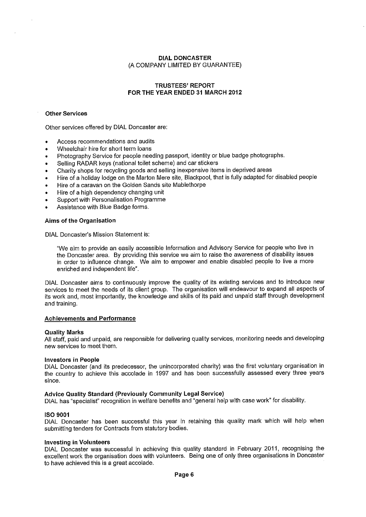### **TRUSTEES' REPORT FOR THE YEAR ENDED 31 MARCH 2012**

### **Other Services**

Other services offered by DIAL Doncaster are:

- Access recommendations and audits
- Wheelchair hire for short term loans
- Photography Service for people needing passport, identity or blue badge photographs.
- Selling RADAR keys (national toilet scheme) and car stickers
- Charity shops for recycling goods and selling inexpensive items in deprived areas
- Hire of a holiday lodge on the Marton Mere site, Blackpool, that is fully adapted for disabled people
- Hire of a caravan on the Golden Sands site Mablethorpe
- Hire of a high dependency changing unit
- Support with Personalisation Programme
- Assistance with Blue Badge forms.

#### **Aims of the Organisation**

DIAL Doncaster's Mission Statement is:

"We aim to provide an easily accessible Information and Advisory Service for people who live in the Doncaster area. By providing this service we aim to raise the awareness of disability issues in order to influence change. We aim to empower and enable disabled people to live a more enriched and independent life".

DIAL Doncaster aims to continuously improve the quality of its existing services and to introduce new services to meet the needs of its client group. The organisation will endeavour to expand all aspects of its work and, most importantly, the knowledge and skills of its paid and unpaid staff through development and training.

#### **Achievements and Performance**

#### **Quality Marks**

All staff, paid and unpaid, are responsible for delivering quality services, monitoring needs and developing new services to meet them.

#### **Investors in People**

DIAL Doncaster (and its predecessor, the unincorporated charity) was the first voluntary organisation in the country to achieve this accolade in 1997 and has been successfully assessed every three years since.

# **Advice Quality Standard (Previously Community Legal Service)**

DIAL has "specialist" recognition in welfare benefits and "general help with case work" for disability.

#### **ISO 9001**

DIAL Doncaster has been successful this year in retaining this quality mark which will help when submitting tenders for Contracts from statutory bodies.

### **Investing in Volunteers**

DIAL Doncaster was successful in achieving this quality standard in February 2011, recognising the excellent work the organisation does with volunteers. Being one of only three organisations in Doncaster to have achieved this is a great accolade.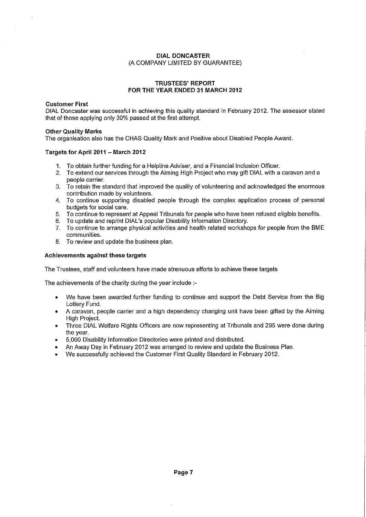### TRUSTEES' REPORT FOR THE YEAR ENDED 31 MARCH 2012

### Customer First

DIAL Doncaster was successful in achieving this quality standard in February 2012. The assessor stated that of those applying only 30% passed at the first attempt.

### Other Quality Marks

The organisation also has the CHAS Quality Mark and Positive about Disabled People Award.

#### Targets for April 2011 — March 2012

- 1. To obtain further funding for a Helpline Adviser, and a Financial Inclusion Officer.
- 2. To extend our services through the Aiming High Project who may gift DIAL with a caravan and a people carrier.
- 3. To retain the standard that improved the quality of volunteering and acknowledged the enormous contribution made by volunteers.
- 4. To continue supporting disabled people through the complex application process of personal budgets for social care.
- 5. To continue to represent at Appeal Tribunals for people who have been refused eligible benefits.
- 6. To update and reprint DIAL's popular Disability Information Directory.
- 7. To continue to arrange physical activities and health related workshops for people from the BME communities.
- 8. To review and update the business plan.

#### Achievements against these targets

The Trustees, staff and volunteers have made strenuous efforts to achieve these targets

The achievements of the charity during the year include :-

- We have been awarded further funding to continue and support the Debt Service from the Big Lottery Fund.
- A caravan, people carrier and a high dependency changing unit have been gifted by the Aiming High Project.
- Three DIAL Welfare Rights Officers are now representing at Tribunals and 295 were done during the year.
- 5,000 Disability Information Directories were printed and distributed.
- An Away Day in February 2012 was arranged to review and update the Business Plan.
- We successfully achieved the Customer First Quality Standard in February 2012.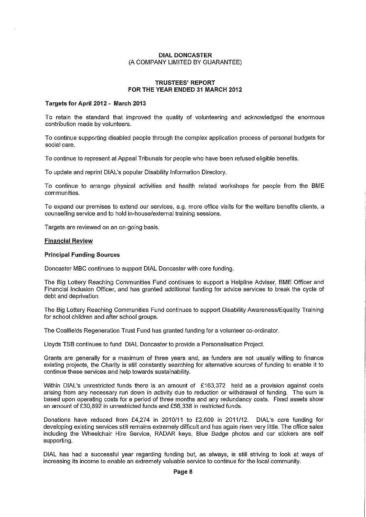#### TRUSTEES' REPORT FOR THE YEAR ENDED 31 MARCH 2012

#### Targets for April 2012- March 2013

To retain the standard that improved the quality of volunteering and acknowledged the enormous contribution made by volunteers.

To continue supporting disabled people through the complex application process of personal budgets for social care.

To continue to represent at Appeal Tribunals for people who have been refused eligible benefits.

To update and reprint DIAL's popular Disability Information Directory.

To continue to arrange physical activities and health related workshops for people from the BME communities.

To expand our premises to extend our services, e.g. more office visits for the welfare benefits clients, a counselling service and to hold in-house/external training sessions.

Targets are reviewed on an on-going basis.

#### Financial Review

#### Principal Funding Sources

Doncaster MBC continues to support DIAL Doncaster with core funding.

The Big Lottery Reaching Communities Fund continues to support a Helpline Adviser, BME Officer and Financial Inclusion Officer, and has granted additional funding for advice services to break the cycle of debt and deprivation.

The Big Lottery Reaching Communities Fund continues to support Disability Awareness/Equality Training for school children and after school groups.

The Coalfields Regeneration Trust Fund has granted funding for a volunteer co-ordinator.

Lloyds TSB continues to fund DIAL Doncaster to provide a Personalisation Project.

Grants are generally for a maximum of three years and, as funders are not usually willing to finance existing projects, the Charity is still constantly searching for alternative sources of funding to enable it to continue these services and help towards sustainability.

Within DIAL's unrestricted funds there is an amount of £163,372 held as a provision against costs arising from any necessary run down in activity due to reduction or withdrawal of funding. The sum is based upon operating costs for a period of three months and any redundancy costs. Fixed assets show an amount of £30,892 in unrestricted funds and £56,338 in restricted funds.

Donations have reduced from £4,274 in 2010/11 to £2,609 in 2011/12. DIAL's core funding for developing existing services still remains extremely difficult and has again risen very little. The office sales including the Wheelchair Hire Service, RADAR keys, Blue Badge photos and car stickers are self supporting.

DIAL has had a successful year regarding funding but, as always, is still striving to look at ways of increasing its income to enable an extremely valuable service to continue for the local community.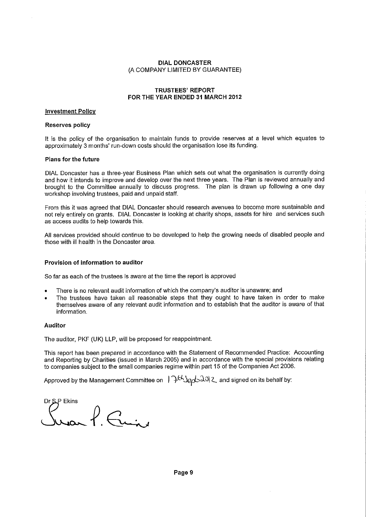### **TRUSTEES' REPORT FOR THE YEAR ENDED 31 MARCH 2012**

### **Investment Policy**

# **Reserves policy**

It is the policy of the organisation to maintain funds to provide reserves at a level which equates to approximately 3 months' run-down costs should the organisation lose its funding.

#### **Plans for the future**

**DIAL** Doncaster has a three-year Business Plan which sets out what the organisation is currently doing and how it intends to improve and develop over the next three years. The Plan is reviewed annually and brought to the Committee annually to discuss progress. The plan is drawn up following a one day workshop involving trustees, paid and unpaid staff.

From this it was agreed that DIAL Doncaster should research avenues to become more sustainable and not rely entirely on grants. **DIAL** Doncaster is looking at charity shops, assets for hire and services such as access audits to help towards this.

All services provided should continue to be developed to help the growing needs of disabled people and those with ill health in the Doncaster area.

### **Provision of information to auditor**

So far as each of the trustees is aware at the time the report is approved

- There is no relevant audit information of which the company's auditor is unaware; and
- The trustees have taken all reasonable steps that they ought to have taken in order to make themselves aware of any relevant audit information and to establish that the auditor is aware of that information.

#### **Auditor**

The auditor, PKF (UK) **LLP,** will be proposed for reappointment.

This report has been prepared in accordance with the Statement of Recommended Practice: Accounting and Reporting by Charities (issued in March 2005) and in accordance with the special provisions relating to companies subject to the small companies regime within part 15 of the Companies Act 2006.

Approved by the Management Committee on  $1^{\circ}$   $1^{t}$   $3e<sub>0</sub>$   $30^{t}$  2 and signed on its behalf by:

Dr SLP Ekins  $\ell$ . Fui,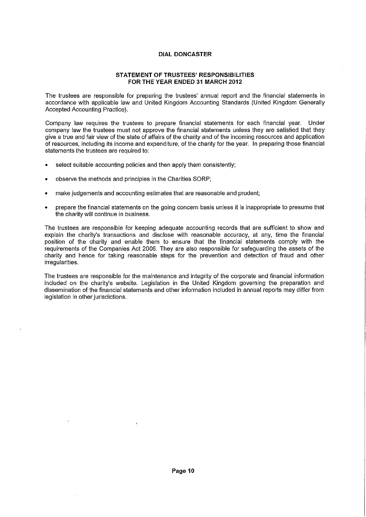### **STATEMENT OF TRUSTEES' RESPONSIBILITIES FOR THE YEAR ENDED 31 MARCH 2012**

The trustees are responsible for preparing the trustees' annual report and the financial statements in accordance with applicable law and United Kingdom Accounting Standards (United Kingdom Generally Accepted Accounting Practice).

Company law requires the trustees to prepare financial statements for each financial year. Under company law the trustees must not approve the financial statements unless they are satisfied that they give a true and fair view of the state of affairs of the charity and of the incoming resources and application of resources, including its income and expenditure, of the charity for the year. In preparing those financial statements the trustees are required to:

- select suitable accounting policies and then apply them consistently;
- observe the methods and principles in the Charities SORP;
- make judgements and accounting estimates that are reasonable and prudent;
- prepare the financial statements on the going concern basis unless it is inappropriate to presume that the charity will continue in business.

The trustees are responsible for keeping adequate accounting records that are sufficient to show and explain the charity's transactions and disclose with reasonable accuracy, at any, time the financial position of the charity and enable them to ensure that the financial statements comply with the requirements of the Companies Act 2006. They are also responsible for safeguarding the assets of the charity and hence for taking reasonable steps for the prevention and detection of fraud and other irregularities.

The trustees are responsible for the maintenance and integrity of the corporate and financial information included on the charity's website. Legislation in the United Kingdom governing the preparation and dissemination of the financial statements and other information included in annual reports may differ from legislation in other jurisdictions.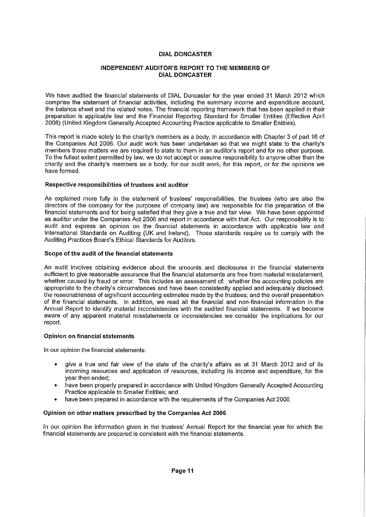### INDEPENDENT AUDITOR'S REPORT TO THE MEMBERS OF DIAL DONCASTER

We have audited the financial statements of DIAL Doncaster for the year ended 31 March 2012 which comprise the statement of financial activities, including the summary income and expenditure account, the balance sheet and the related notes. The financial reporting framework that has been applied in their preparation is applicable law and the Financial Reporting Standard for Smaller Entities (Effective April 2008) (United Kingdom Generally Accepted Accounting Practice applicable to Smaller Entities).

This report is made solely to the charity's members as a body, in accordance with Chapter 3 of part 16 of the Companies Act 2006. Our audit work has been undertaken so that we might state to the charity's members those matters we are required to state to them in an auditor's report and for no other purpose. To the fullest extent permitted by law, we do not accept or assume responsibility to anyone other than the charity and the charity's members as a body, for our audit work, for this report, or for the opinions we have formed.

### Respective responsibilities of trustees and auditor

As explained more fully in the statement of trustees' responsibilities, the trustees (who are also the directors of the company for the purposes of company law) are responsible for the preparation of the financial statements and for being satisfied that they give a true and fair view. We have been appointed as auditor under the Companies Act 2006 and report in accordance with that Act. Our responsibility is to audit and express an opinion on the financial statements in accordance with applicable law and International Standards on Auditing (UK and Ireland). Those standards require us to comply with the Auditing Practices Board's Ethical Standards for Auditors.

#### Scope of the audit of the financial statements

An audit involves obtaining evidence about the amounts and disclosures in the financial statements sufficient to give reasonable assurance that the financial statements are free from material misstatement. whether caused by fraud or error. This includes an assessment of: whether the accounting policies are appropriate to the charity's circumstances and have been consistently applied and adequately disclosed; the reasonableness of significant accounting estimates made by the trustees; and the overall presentation of the financial statements. In addition, we read all the financial and non-financial information in the Annual Report to identify material inconsistencies with the audited financial statements. If we become aware of any apparent material misstatements or inconsistencies we consider the implications for our report.

### Opinion on financial statements

In our opinion the financial statements:

- give a true and fair view of the state of the charity's affairs as at 31 March 2012 and of its incoming resources and application of resources, including its income and expenditure, for the year then ended;
- have been properly prepared in accordance with United Kingdom Generally Accepted Accounting Practice applicable to Smaller Entities; and
- have been prepared in accordance with the requirements of the Companies Act 2006.

#### Opinion on other matters prescribed by the Companies Act 2006

In our opinion the information given in the trustees' Annual Report for the financial year for which the financial statements are prepared is consistent with the financial statements.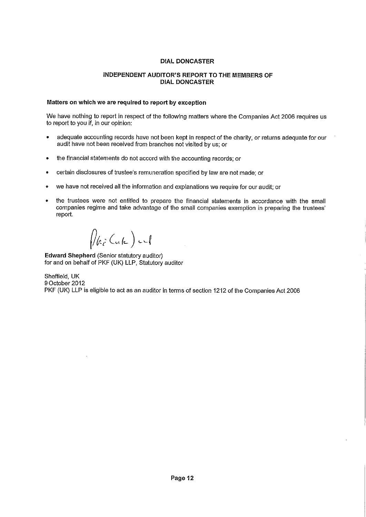### INDEPENDENT AUDITOR'S REPORT TO THE MEMBERS OF DIAL DONCASTER

# Matters on which we are required to report by exception

We have nothing to report in respect of the following matters where the Companies Act 2006 requires us to report to you if, in our opinion:

- adequate accounting records have not been kept in respect of the charity, or returns adequate for our audit have not been received from branches not visited by us; or
- the financial statements do not accord with the accounting records; or
- certain disclosures of trustee's remuneration specified by law are not made; or
- we have not received all the information and explanations we require for our audit; or
- the trustees were not entitled to prepare the financial statements in accordance with the small companies regime and take advantage of the small companies exemption in preparing the trustees' report.

 $\sqrt{\mathscr{C}_{\vec{e}}(\mathscr{C}_{\mathfrak{e}})}$  and

Edward Shepherd (Senior statutory auditor) for and on behalf of PKF (UK) LLP, Statutory auditor

Sheffield, UK 9 October 2012 PKF (UK) LLP is eligible to act as an auditor in terms of section 1212 of the Companies Act 2006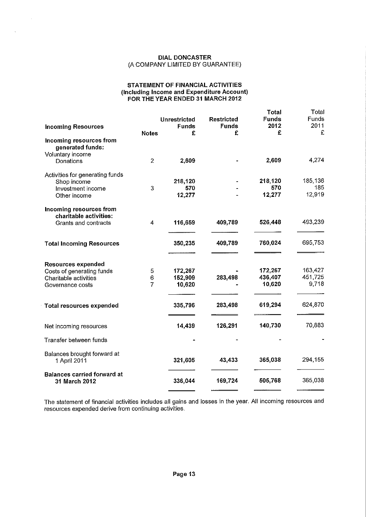#### **STATEMENT OF FINANCIAL ACTIVITIES (Including Income and Expenditure Account) FOR THE YEAR ENDED 31 MARCH 2012**

|                                                     |                |                     |                   | <b>Total</b>         | Total                |
|-----------------------------------------------------|----------------|---------------------|-------------------|----------------------|----------------------|
|                                                     |                | <b>Unrestricted</b> | <b>Restricted</b> | <b>Funds</b><br>2012 | <b>Funds</b><br>2011 |
| <b>Incoming Resources</b>                           | <b>Notes</b>   | <b>Funds</b><br>£   | <b>Funds</b><br>£ | £                    | £                    |
| Incoming resources from<br>generated funds:         |                |                     |                   |                      |                      |
| Voluntary income<br>Donations                       | $\overline{2}$ | 2,609               |                   | 2,609                | 4,274                |
| Activities for generating funds<br>Shop income      |                | 218,120             |                   | 218,120              | 185,136              |
| Investment income                                   | 3              | 570                 |                   | 570                  | 185                  |
| Other income                                        |                | 12,277              |                   | 12,277               | 12,919               |
| Incoming resources from<br>charitable activities:   |                |                     |                   |                      |                      |
| Grants and contracts                                | 4              | 116,659             | 409,789           | 526,448              | 493,239              |
|                                                     |                |                     |                   |                      |                      |
| <b>Total Incoming Resources</b>                     |                | 350,235             | 409.789           | 760,024              | 695,753              |
|                                                     |                |                     |                   |                      |                      |
| <b>Resources expended</b>                           |                |                     |                   | 172,267              | 163,427              |
| Costs of generating funds<br>Charitable activities  | 5<br>6         | 172,267<br>152,909  | 283,498           | 436,407              | 451,725              |
| Governance costs                                    | $\overline{7}$ | 10,620              |                   | 10,620               | 9,718                |
|                                                     |                |                     |                   |                      |                      |
| <b>Total resources expended</b>                     |                | 335,796             | 283,498           | 619,294              | 624,870              |
| Net incoming resources                              |                | 14,439              | 126,291           | 140,730              | 70,883               |
| Transfer between funds                              |                |                     |                   |                      |                      |
| Balances brought forward at<br>1 April 2011         |                | 321,605             | 43,433            | 365,038              | 294,155              |
| <b>Balances carried forward at</b><br>31 March 2012 |                | 336,044             | 169,724           | 505,768              | 365,038              |

The statement of financial activities includes all gains and losses in the year. All incoming resources and resources expended derive from continuing activities.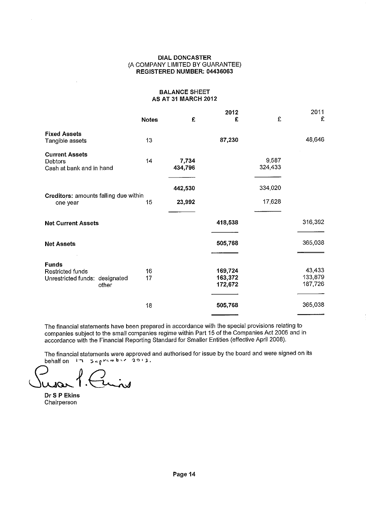#### **DIAL DONCASTER**  (A COMPANY LIMITED BY GUARANTEE) **REGISTERED NUMBER: 04436063**

### **BALANCE SHEET AS AT 31 MARCH 2012**

|                                                                                    | <b>Notes</b> | £                | 2012<br>£                     | £                | 2011<br>£                    |
|------------------------------------------------------------------------------------|--------------|------------------|-------------------------------|------------------|------------------------------|
| <b>Fixed Assets</b><br>Tangible assets                                             | 13           |                  | 87,230                        |                  | 48,646                       |
| <b>Current Assets</b><br>Debtors<br>Cash at bank and in hand                       | 14           | 7,734<br>434,796 |                               | 9,587<br>324,433 |                              |
|                                                                                    |              | 442,530          |                               | 334,020          |                              |
| Creditors: amounts falling due within<br>one year                                  | 15           | 23,992           |                               | 17,628           |                              |
| <b>Net Current Assets</b>                                                          |              |                  | 418,538                       |                  | 316,392                      |
| <b>Net Assets</b>                                                                  |              |                  | 505,768                       |                  | 365,038                      |
| <b>Funds</b><br><b>Restricted funds</b><br>Unrestricted funds: designated<br>other | 16<br>17     |                  | 169,724<br>163,372<br>172,672 |                  | 43,433<br>133,879<br>187,726 |
|                                                                                    | 18           |                  | 505,768                       |                  | 365,038                      |

The financial statements have been prepared in accordance with the special provisions relating to companies subject to the small companies regime within Part 15 of the Companies Act 2006 and in accordance with the Financial Reporting Standard for Smaller Entities (effective April 2008).

The financial statements were approved and authorised for issue by the board and were signed on its behalf on  $17.5$  september 2011.

ىدى

**Dr S P Ekins**  Chairperson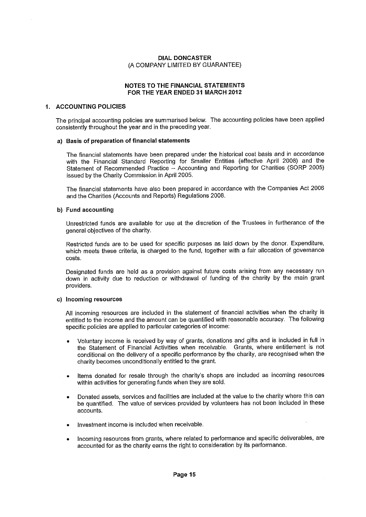### NOTES TO THE FINANCIAL STATEMENTS FOR THE YEAR ENDED 31 MARCH 2012

### 1. ACCOUNTING POLICIES

The principal accounting policies are summarised below. The accounting policies have been applied consistently throughout the year and in the preceding year.

#### a) Basis of preparation of financial statements

The financial statements have been prepared under the historical cost basis and in accordance with the Financial Standard Reporting for Smaller Entities (effective April 2008) and the Statement of Recommended Practice — Accounting and Reporting for Charities (SORP 2005) issued by the Charity Commission in April 2005.

The financial statements have also been prepared in accordance with the Companies Act 2006 and the Charities (Accounts and Reports) Regulations 2008.

#### b) Fund accounting

Unrestricted funds are available for use at the discretion of the Trustees in furtherance of the general objectives of the charity.

Restricted funds are to be used for specific purposes as laid down by the donor. Expenditure, which meets these criteria, is charged to the fund, together with a fair allocation of governance costs.

Designated funds are held as a provision against future costs arising from any necessary run down in activity due to reduction or withdrawal of funding of the charity by the main grant providers.

### c) Incoming resources

All incoming resources are included in the statement of financial activities when the charity is entitled to the income and the amount can be quantified with reasonable accuracy. The following specific policies are applied to particular categories of income:

- Voluntary income is received by way of grants, donations and gifts and is included in full in the Statement of Financial Activities when receivable. Grants, where entitlement is not conditional on the delivery of a specific performance by the charity, are recognised when the charity becomes unconditionally entitled to the grant.
- Items donated for resale through the charity's shops are included as incoming resources within activities for generating funds when they are sold.
- Donated assets, services and facilities are included at the value to the charity where this can be quantified. The value of services provided by volunteers has not been included in these accounts.
- Investment income is included when receivable.
- Incoming resources from grants, where related to performance and specific deliverables, are accounted for as the charity earns the right to consideration by its performance.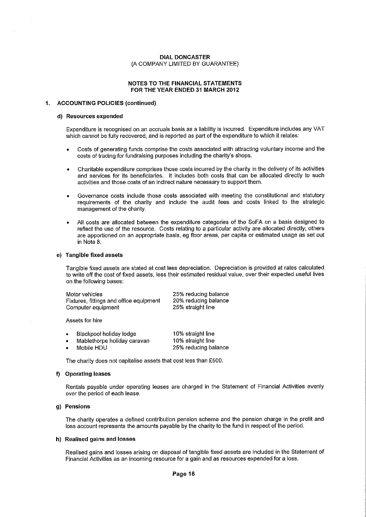#### NOTES TO THE FINANCIAL STATEMENTS FOR THE YEAR ENDED 31 MARCH 2012

#### 1. ACCOUNTING POLICIES (continued)

#### d) Resources expended

Expenditure is recognised on an accruals basis as a liability is incurred. Expenditure includes any VAT which cannot be fully recovered, and is reported as part of the expenditure to which it relates:

- Costs of generating funds comprise the costs associated with attracting voluntary income and the costs of trading for fundraising purposes including the charity's shops.
- Charitable expenditure comprises those costs incurred by the charity in the delivery of its activities and services for its beneficiaries. It includes both costs that can be allocated directly to such activities and those costs of an indirect nature necessary to support them.
- Governance costs include those costs associated with meeting the constitutional and statutory requirements of the charity and include the audit fees and costs linked to the strategic management of the charity.
- All costs are allocated between the expenditure categories of the SoFA on a basis designed to reflect the use of the resource. Costs relating to a particular activity are allocated directly; others are apportioned on an appropriate basis, eg floor areas, per capita or estimated usage as set out in Note 8.

#### e) Tangible fixed assets

Tangible fixed assets are stated at cost less depreciation. Depreciation is provided at rates calculated to write off the cost of fixed assets, less their estimated residual value, over their expected useful lives on the following bases:

| Motor vehicles                          | 25% reducing balance |
|-----------------------------------------|----------------------|
| Fixtures, fittings and office equipment | 20% reducing balance |
| Computer equipment                      | 25% straight line    |
|                                         |                      |

Assets for hire

| ۰ | Blackpool holiday lodge     | 10% straight line    |
|---|-----------------------------|----------------------|
|   | Mablethorpe holiday caravan | 10% straight line    |
|   | Mobile HDU                  | 25% reducing balance |

The charity does not capitalise assets that cost less than £500.

#### f) Operating leases

Rentals payable under operating leases are charged in the Statement of Financial Activities evenly over the period of each lease.

#### g) Pensions

The charity operates a defined contribution pension scheme and the pension charge in the profit and loss account represents the amounts payable by the charity to the fund in respect of the period.

#### h) Realised gains and losses

Realised gains and losses arising on disposal of tangible fixed assets are included in the Statement of Financial Activities as an incoming resource for a gain and as resources expended for a loss.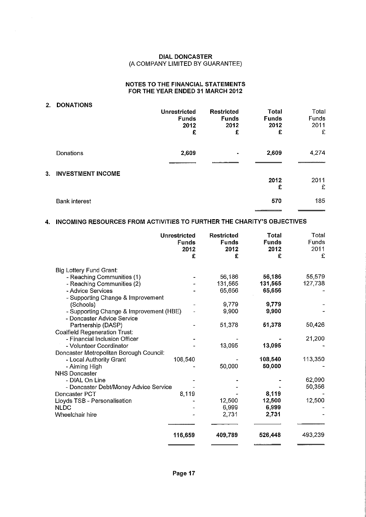### **NOTES TO THE FINANCIAL STATEMENTS FOR THE YEAR ENDED 31 MARCH 2012**

# **2. DONATIONS**

 $\hat{\mathcal{A}}$ 

|                                | <b>Unrestricted</b><br><b>Funds</b><br>2012<br>£ | <b>Restricted</b><br><b>Funds</b><br>2012<br>£ | <b>Total</b><br><b>Funds</b><br>2012<br>£ | Total<br>Funds<br>2011<br>£ |
|--------------------------------|--------------------------------------------------|------------------------------------------------|-------------------------------------------|-----------------------------|
| Donations                      | 2,609                                            | $\blacksquare$                                 | 2,609                                     | 4,274                       |
| <b>INVESTMENT INCOME</b><br>3. |                                                  |                                                | 2012<br>£                                 | 2011<br>£                   |
| <b>Bank interest</b>           |                                                  |                                                | 570                                       | 185                         |

# **4. INCOMING RESOURCES FROM ACTIVITIES TO FURTHER THE CHARITY'S OBJECTIVES**

|                                         | <b>Unrestricted</b><br><b>Funds</b><br>2012<br>£ | <b>Restricted</b><br><b>Funds</b><br>2012<br>£ | Total<br><b>Funds</b><br>2012<br>£ | Total<br><b>Funds</b><br>2011<br>£ |
|-----------------------------------------|--------------------------------------------------|------------------------------------------------|------------------------------------|------------------------------------|
|                                         |                                                  |                                                |                                    |                                    |
| Big Lottery Fund Grant:                 |                                                  |                                                |                                    |                                    |
| - Reaching Communities (1)              |                                                  | 56,186                                         | 56,186                             | 55,579                             |
| - Reaching Communities (2)              |                                                  | 131,565                                        | 131,565                            | 127,738                            |
| - Advice Services                       |                                                  | 65,656                                         | 65,656                             |                                    |
| - Supporting Change & Improvement       |                                                  |                                                |                                    |                                    |
| (Schools)                               |                                                  | 9779                                           | 9,779                              |                                    |
| - Supporting Change & Improvement (HBE) |                                                  | 9,900                                          | 9,900                              |                                    |
| - Doncaster Advice Service              |                                                  |                                                |                                    |                                    |
| Partnership (DASP)                      |                                                  | 51,378                                         | 51,378                             | 50,426                             |
| Coalfield Regeneration Trust:           |                                                  |                                                |                                    |                                    |
| - Financial Inclusion Officer           |                                                  |                                                |                                    | 21,200                             |
| - Volunteer Coordinator                 |                                                  | 13,095                                         | 13,095                             |                                    |
| Doncaster Metropolitan Borough Council: |                                                  |                                                |                                    |                                    |
| - Local Authority Grant                 | 108,540                                          |                                                | 108,540                            | 113,350                            |
| - Aiming High                           |                                                  | 50,000                                         | 50,000                             |                                    |
| <b>NHS Doncaster</b>                    |                                                  |                                                |                                    |                                    |
| - DIAL On Line                          |                                                  |                                                |                                    | 62,090                             |
| - Doncaster Debt/Money Advice Service   |                                                  |                                                |                                    | 50,356                             |
| Doncaster PCT                           | 8,119                                            |                                                | 8,119                              |                                    |
| Lloyds TSB - Personalisation            |                                                  | 12.500                                         | 12,500                             | 12,500                             |
| <b>NLDC</b>                             |                                                  | 6,999                                          | 6,999                              |                                    |
| Wheelchair hire                         |                                                  | 2.731                                          | 2,731                              |                                    |
|                                         | 116,659                                          | 409,789                                        | 526,448                            | 493,239                            |
|                                         |                                                  |                                                |                                    |                                    |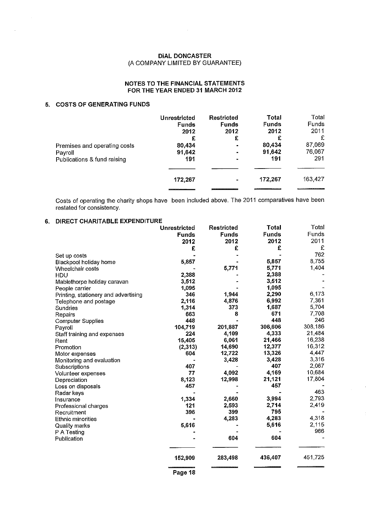$\sim$   $\sim$ 

### **NOTES TO THE FINANCIAL STATEMENTS FOR THE YEAR ENDED 31 MARCH 2012**

# **5. COSTS OF GENERATING FUNDS**

|                              | Unrestricted | Restricted     | Total        | Total   |
|------------------------------|--------------|----------------|--------------|---------|
|                              | <b>Funds</b> | <b>Funds</b>   | <b>Funds</b> | Funds   |
|                              | 2012         | 2012           | 2012         | 2011    |
|                              | £            | £              | £            | £       |
| Premises and operating costs | 80,434       | ۰              | 80,434       | 87,069  |
| Payroll                      | 91,642       | $\blacksquare$ | 91,642       | 76,067  |
| Publications & fund raising  | 191          | $\mathbf{r}$   | 191          | 291     |
|                              | 172,267      | ٠              | 172,267      | 163,427 |

Costs of operating the charity shops have been included above. The 2011 comparatives have been restated for consistency.

#### **6. DIRECT CHARITABLE EXPENDITURE**

|                                      | <b>Unrestricted</b> | <b>Restricted</b> | <b>Total</b> | Total   |  |
|--------------------------------------|---------------------|-------------------|--------------|---------|--|
|                                      | <b>Funds</b>        | <b>Funds</b>      | <b>Funds</b> | Funds   |  |
|                                      | 2012                | 2012              | 2012         | 2011    |  |
|                                      | £                   | £                 | £            | £       |  |
| Set up costs                         |                     |                   |              | 762     |  |
| Blackpool holiday home               | 5,857               |                   | 5,857        | 8,755   |  |
| Wheelchair costs                     |                     | 5,771             | 5,771        | 1,404   |  |
| HDU                                  | 2,388               |                   | 2,388        |         |  |
| Mablethorpe holiday caravan          | 3,512               |                   | 3,512        |         |  |
| People carrier                       | 1,095               |                   | 1,095        |         |  |
| Printing, stationery and advertising | 346                 | 1,944             | 2,290        | 6,173   |  |
| Telephone and postage                | 2,116               | 4,876             | 6,992        | 7,361   |  |
| Sundries                             | 1,314               | 373               | 1,687        | 5,704   |  |
| Repairs                              | 663                 | 8                 | 671          | 7,708   |  |
| <b>Computer Supplies</b>             | 448                 |                   | 448          | 246     |  |
| Payroll                              | 104,719             | 201,887           | 306,606      | 308,186 |  |
| Staff training and expenses          | 224                 | 4,109             | 4,333        | 21,484  |  |
| Rent                                 | 15,405              | 6,061             | 21,466       | 16,238  |  |
| Promotion                            | (2, 313)            | 14,690            | 12,377       | 16,312  |  |
| Motor expenses                       | 604                 | 12,722            | 13,326       | 4,447   |  |
| Monitoring and evaluation            |                     | 3,428             | 3,428        | 3,316   |  |
| Subscriptions                        | 407                 |                   | 407          | 2,067   |  |
| Volunteer expenses                   | 77                  | 4,092             | 4,169        | 10,684  |  |
| Depreciation                         | 8,123               | 12,998            | 21,121       | 17,804  |  |
| Loss on disposals                    | 457                 |                   | 457          |         |  |
| Radar keys                           |                     |                   |              | 463     |  |
| Insurance                            | 1,334               | 2,660             | 3,994        | 2,793   |  |
| Professional charges                 | 121                 | 2,593             | 2,714        | 2,419   |  |
| Recruitment                          | 396                 | 399               | 795          |         |  |
| Ethnic minorities                    |                     | 4,283             | 4,283        | 4,318   |  |
| Quality marks                        | 5,616               |                   | 5,616        | 2,115   |  |
| P A Testing                          |                     |                   |              | 966     |  |
| Publication                          |                     | 604               | 604          |         |  |
|                                      |                     |                   |              |         |  |
|                                      | 152,909             | 283,498           | 436,407      | 451,725 |  |
|                                      | Page 18             |                   |              |         |  |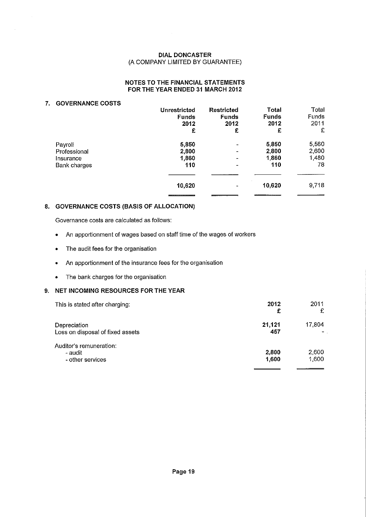### **NOTES TO THE FINANCIAL STATEMENTS FOR THE YEAR ENDED 31 MARCH 2012**

### **7. GOVERNANCE COSTS**

|                     | <b>Unrestricted</b><br><b>Funds</b><br>2012 | <b>Restricted</b><br><b>Funds</b><br>2012 | <b>Total</b><br><b>Funds</b><br>2012 | Total<br>Funds<br>2011 |
|---------------------|---------------------------------------------|-------------------------------------------|--------------------------------------|------------------------|
|                     | £                                           | £                                         | £                                    | £                      |
| Payroll             | 5,850                                       | $\blacksquare$                            | 5,850                                | 5,560                  |
| Professional        | 2,800                                       |                                           | 2,800                                | 2,600                  |
| Insurance           | 1,860                                       | -                                         | 1,860                                | 1,480                  |
| <b>Bank charges</b> | 110                                         | -                                         | 110                                  | 78                     |
|                     |                                             |                                           |                                      |                        |
|                     | 10,620                                      | $\blacksquare$                            | 10,620                               | 9,718                  |
|                     |                                             |                                           |                                      |                        |

# **8. GOVERNANCE COSTS (BASIS OF ALLOCATION)**

Governance costs are calculated as follows:

- An apportionment of wages based on staff time of the wages of workers
- The audit fees for the organisation
- An apportionment of the insurance fees for the organisation
- The bank charges for the organisation

# **9. NET INCOMING RESOURCES FOR THE YEAR**

| This is stated after charging:                         | 2012<br>£      | 2011<br>£      |
|--------------------------------------------------------|----------------|----------------|
| Depreciation<br>Loss on disposal of fixed assets       | 21,121<br>457  | 17,804         |
| Auditor's remuneration:<br>- audit<br>- other services | 2,800<br>1,600 | 2,600<br>1,600 |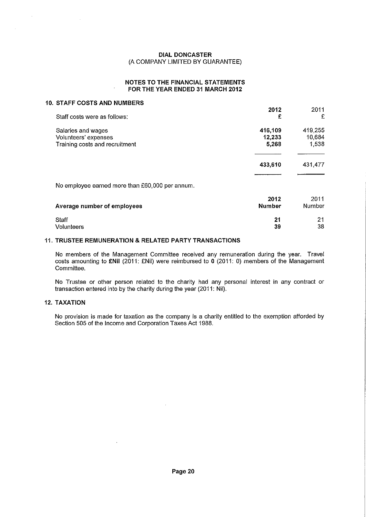### **NOTES TO THE FINANCIAL STATEMENTS FOR THE YEAR ENDED 31 MARCH 2012**

### **10. STAFF COSTS AND NUMBERS**

|                                                 | 2012          | 2011          |
|-------------------------------------------------|---------------|---------------|
| Staff costs were as follows:                    | £             | £             |
| Salaries and wages                              | 416,109       | 419,255       |
| Volunteers' expenses                            | 12,233        | 10,684        |
| Training costs and recruitment                  | 5,268         | 1,538         |
|                                                 |               |               |
|                                                 | 433,610       | 431,477       |
|                                                 |               |               |
| No employee earned more than £60,000 per annum. |               |               |
|                                                 | 2012          | 2011          |
| Average number of employees                     | <b>Number</b> | <b>Number</b> |
| Staff                                           | 21            | 21            |
| Volunteers                                      | 39            | 38            |

### **11. TRUSTEE REMUNERATION & RELATED PARTY TRANSACTIONS**

 $\mathcal{L}$ 

No members of the Management Committee received any remuneration during the year. Travel costs amounting to *ENII* (2011: *ENII)* were reimbursed to 0 (2011: 0) members of the Management Committee.

No Trustee or other person related to the charity had any personal interest in any contract or transaction entered into by the charity during the year (2011: Nil).

# **12. TAXATION**

No provision is made for taxation as the company is a charity entitled to the exemption afforded by Section 505 of the Income and Corporation Taxes Act 1988.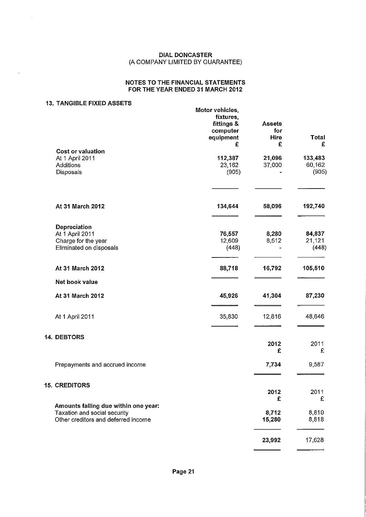### **NOTES TO THE FINANCIAL STATEMENTS FOR THE YEAR ENDED 31 MARCH 2012**

### **13. TANGIBLE FIXED ASSETS**

 $\bar{z}$ 

 $\bar{\psi}$ 

|                                                                                   | Motor vehicles,<br>fixtures,<br>fittings &<br>computer<br>equipment<br>£ | <b>Assets</b><br>for<br><b>Hire</b><br>£ | <b>Total</b><br>£          |
|-----------------------------------------------------------------------------------|--------------------------------------------------------------------------|------------------------------------------|----------------------------|
| <b>Cost or valuation</b>                                                          |                                                                          |                                          |                            |
| At 1 April 2011<br>Additions<br>Disposals                                         | 112,387<br>23,162<br>(905)                                               | 21,096<br>37,000                         | 133,483<br>60,162<br>(905) |
| At 31 March 2012                                                                  | 134,644                                                                  | 58,096                                   | 192,740                    |
|                                                                                   |                                                                          |                                          |                            |
| Depreciation<br>At 1 April 2011<br>Charge for the year<br>Eliminated on disposals | 76,557<br>12,609<br>(448)                                                | 8,280<br>8,512                           | 84,837<br>21,121<br>(448)  |
| At 31 March 2012                                                                  | 88,718                                                                   | 16,792                                   | 105,510                    |
| Net book value                                                                    |                                                                          |                                          |                            |
| At 31 March 2012                                                                  | 45,926                                                                   | 41,304                                   | 87,230                     |
| At 1 April 2011                                                                   | 35,830                                                                   | 12,816                                   | 48,646                     |
| 14. DEBTORS                                                                       |                                                                          | 2012                                     | 2011                       |
|                                                                                   |                                                                          | £                                        | £                          |
| Prepayments and accrued income                                                    |                                                                          | 7,734                                    | 9,587                      |
| <b>15. CREDITORS</b>                                                              |                                                                          |                                          |                            |
|                                                                                   |                                                                          | 2012<br>£                                | 2011<br>£                  |
| Amounts falling due within one year:<br>Taxation and social security              |                                                                          | 8,712                                    | 8,810                      |
| Other creditors and deferred income                                               |                                                                          | 15,280                                   | 8,818                      |
|                                                                                   |                                                                          | 23,992                                   | 17,628                     |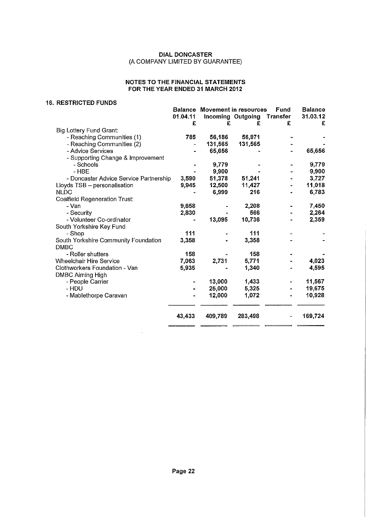### **NOTES TO THE FINANCIAL STATEMENTS FOR THE YEAR ENDED 31 MARCH 2012**

### **16. RESTRICTED FUNDS**

 $\sim$ 

|                                        | <b>Balance</b> | <b>Movement in resources</b> |                   | Fund            | <b>Balance</b> |
|----------------------------------------|----------------|------------------------------|-------------------|-----------------|----------------|
|                                        | 01.04.11       |                              | Incoming Outgoing | <b>Transfer</b> | 31.03.12       |
|                                        | £              | £                            | £                 | £               | £              |
| Big Lottery Fund Grant:                |                |                              |                   |                 |                |
| - Reaching Communities (1)             | 785            | 56,186                       | 56,971            |                 |                |
| - Reaching Communities (2)             |                | 131,565                      | 131,565           |                 |                |
| - Advice Services                      |                | 65,656                       |                   |                 | 65,656         |
| - Supporting Change & Improvement      |                |                              |                   |                 |                |
| - Schools                              |                | 9,779                        |                   |                 | 9,779          |
| $-HBE$                                 |                | 9,900                        |                   |                 | 9,900          |
| - Doncaster Advice Service Partnership | 3,590          | 51,378                       | 51,241            |                 | 3,727          |
| Lloyds TSB - personalisation           | 9,945          | 12,500                       | 11,427            |                 | 11,018         |
| <b>NLDC</b>                            |                | 6,999                        | 216               |                 | 6,783          |
| <b>Coalfield Regeneration Trust:</b>   |                |                              |                   |                 |                |
| - Van                                  | 9,658          |                              | 2,208             |                 | 7,450          |
| - Security                             | 2,830          |                              | 566               |                 | 2,264          |
| - Volunteer Co-ordinator               |                | 13,095                       | 10,736            |                 | 2,359          |
| South Yorkshire Key Fund               |                |                              |                   |                 |                |
| - Shop                                 | 111            |                              | 111               |                 |                |
| South Yorkshire Community Foundation   | 3,358          |                              | 3,358             |                 |                |
| <b>DMBC</b>                            |                |                              |                   |                 |                |
| - Roller shutters                      | 158            |                              | 158               |                 |                |
| <b>Wheelchair Hire Service</b>         | 7,063          | 2,731                        | 5,771             |                 | 4,023          |
| Clothworkers Foundation - Van          | 5,935          |                              | 1,340             |                 | 4,595          |
| <b>DMBC Aiming High</b>                |                |                              |                   |                 |                |
| - People Carrier                       |                | 13,000                       | 1,433             |                 | 11,567         |
| - HDU                                  |                | 25,000                       | 5,325             |                 | 19,675         |
| - Mablethorpe Caravan                  |                | 12,000                       | 1,072             |                 | 10,928         |
|                                        |                |                              |                   |                 |                |
|                                        | 43,433         | 409,789                      | 283,498           |                 | 169,724        |
|                                        |                |                              |                   |                 |                |

 $\bar{z}$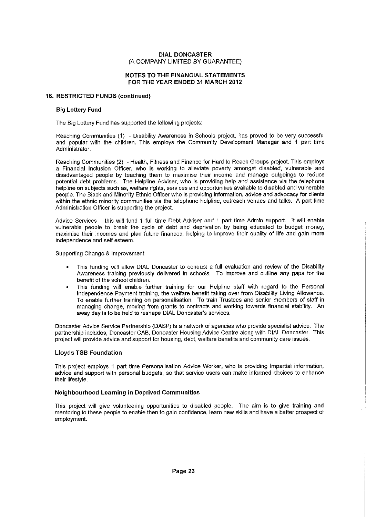#### NOTES TO THE FINANCIAL STATEMENTS FOR THE YEAR ENDED 31 MARCH 2012

#### 16. RESTRICTED FUNDS (continued)

#### Big Lottery Fund

The Big Lottery Fund has supported the following projects:

Reaching Communities (1) - Disability Awareness in Schools project, has proved to be very successful and popular with the children. This employs the Community Development Manager and 1 part time Administrator.

Reaching Communities (2) - Health, Fitness and Finance for Hard to Reach Groups project. This employs a Financial Inclusion Officer, who is working to alleviate poverty amongst disabled, vulnerable and disadvantaged people by teaching them to maximise their income and manage outgoings to reduce potential debt problems. The Helpline Adviser, who is providing help and assistance via the telephone helpline on subjects such as, welfare rights, services and opportunities available to disabled and vulnerable people. The Black and Minority Ethnic Officer who is providing information, advice and advocacy for clients within the ethnic minority communities via the telephone helpline, outreach venues and talks. A part time Administration Officer is supporting the project.

Advice Services — this will fund 1 full time Debt Adviser and 1 part time Admin support. It will enable vulnerable people to break the cycle of debt and deprivation by being educated to budget money, maximise their incomes and plan future finances, helping to improve their quality of life and gain more independence and self esteem.

Supporting Change & Improvement

- This funding will allow DIAL Doncaster to conduct a full evaluation and review of the Disability Awareness training previously delivered in schools. To improve and outline any gaps for the benefit of the school children.
- This funding will enable further training for our Helpline staff with regard to the Personal Independence Payment training, the welfare benefit taking over from Disability Living Allowance. To enable further training on personalisation. To train Trustees and senior members of staff in managing change, moving from grants to contracts and working towards financial stability. An away day is to be held to reshape DIAL Doncaster's services.

Doncaster Advice Service Partnership (DASP) is a network of agencies who provide specialist advice. The partnership includes, Doncaster CAB, Doncaster Housing Advice Centre along with DIAL Doncaster. This project will provide advice and support for housing, debt, welfare benefits and community care issues.

#### Lloyds TSB Foundation

This project employs 1 part time Personalisation Advice Worker, who is providing impartial information, advice and support with personal budgets, so that service users can make informed choices to enhance their lifestyle.

#### Neighbourhood Learning in Deprived Communities

This project will give volunteering opportunities to disabled people. The aim is to give training and mentoring to these people to enable then to gain confidence, learn new skills and have a better prospect of employment.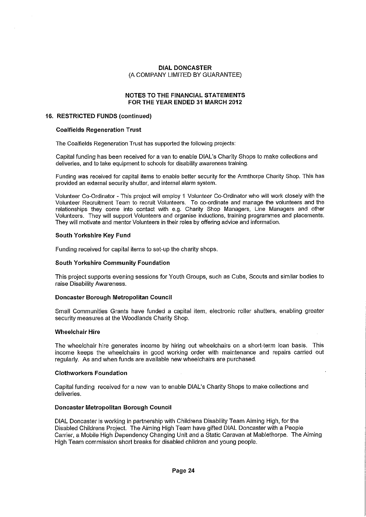### **NOTES TO THE FINANCIAL STATEMENTS FOR THE YEAR ENDED 31 MARCH 2012**

#### **16. RESTRICTED FUNDS (continued)**

#### **Coalfields Regeneration Trust**

The Coalfields Regeneration Trust has supported the following projects:

Capital funding has been received for a van to enable DIAL's Charity Shops to make collections and deliveries, and to take equipment to schools for disability awareness training.

Funding was received for capital items to enable better security for the Armthorpe Charity Shop. This has provided an external security shutter, and internal alarm system.

Volunteer Co-Ordinator - This project will employ 1 Volunteer Co-Ordinator who will work closely with the Volunteer Recruitment Team to recruit Volunteers. To co-ordinate and manage the volunteers and the relationships they come into contact with e.g. Charity Shop Managers, Line Managers and other Volunteers. They will support Volunteers and organise inductions, training programmes and placements. They will motivate and mentor Volunteers in their roles by offering advice and information.

#### **South Yorkshire Key Fund**

Funding received for capital items to set-up the charity shops.

#### **South Yorkshire Community Foundation**

This project supports evening sessions for Youth Groups, such as Cubs, Scouts and similar bodies to raise Disability Awareness.

#### **Doncaster Borough Metropolitan Council**

Small Communities Grants have funded a capital item, electronic roller shutters, enabling greater security measures at the Woodlands Charity Shop.

#### **Wheelchair Hire**

The wheelchair hire generates income by hiring out wheelchairs on a short-term loan basis. This income keeps the wheelchairs in good working order with maintenance and repairs carried out regularly. As and when funds are available new wheelchairs are purchased.

#### **Clothworkers Foundation**

Capital funding received for a new van to enable DIAL's Charity Shops to make collections and deliveries.

#### **Doncaster Metropolitan Borough Council**

DIAL Doncaster is working in partnership with Childrens Disability Team Aiming High, for the Disabled Childrens Project. The Aiming High Team have gifted DIAL Doncaster with a People Carrier, a Mobile High Dependency Changing Unit and a Static Caravan at Mablethorpe. The Aiming High Team commission short breaks for disabled children and young people.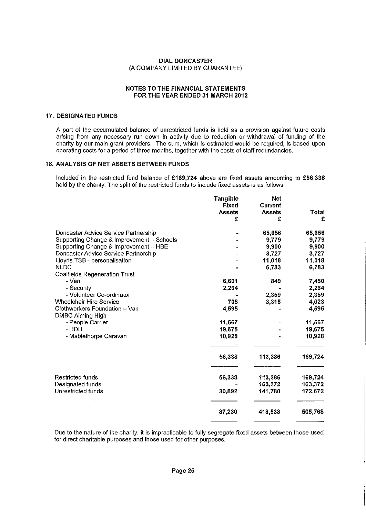#### NOTES TO THE FINANCIAL STATEMENTS FOR THE YEAR ENDED 31 MARCH 2012

#### 17. DESIGNATED FUNDS

A part of the accumulated balance of unrestricted funds is held as a provision against future costs arising from any necessary run down in activity due to reduction or withdrawal of funding of the charity by our main grant providers. The sum, which is estimated would be required, is based upon operating costs for a period of three months, together with the costs of staff redundancies.

#### 18. ANALYSIS OF NET ASSETS BETWEEN FUNDS

Included in the restricted fund balance of £169,724 above are fixed assets amounting to £56,338 held by the charity. The split of the restricted funds to include fixed assets is as follows:

|                                           | <b>Tangible</b> | <b>Net</b> |         |
|-------------------------------------------|-----------------|------------|---------|
|                                           | <b>Fixed</b>    | Current    |         |
|                                           | <b>Assets</b>   | Assets     | Total   |
|                                           | £               | £          | £       |
| Doncaster Advice Service Partnership      |                 | 65,656     | 65,656  |
| Supporting Change & Improvement - Schools |                 | 9,779      | 9,779   |
| Supporting Change & Improvement - HBE     |                 | 9,900      | 9,900   |
| Doncaster Advice Service Partnership      |                 | 3,727      | 3,727   |
| Lloyds TSB - personalisation              |                 | 11,018     | 11,018  |
| <b>NLDC</b>                               |                 | 6,783      | 6,783   |
| <b>Coalfields Regeneration Trust</b>      |                 |            |         |
| - Van                                     | 6,601           | 849        | 7,450   |
| - Security                                | 2,264           |            | 2,264   |
| - Volunteer Co-ordinator                  |                 | 2,359      | 2,359   |
| <b>Wheelchair Hire Service</b>            | 708             | 3,315      | 4,023   |
| Clothworkers Foundation - Van             | 4.595           |            | 4,595   |
| <b>DMBC Aiming High</b>                   |                 |            |         |
| - People Carrier                          | 11,567          |            | 11,567  |
| - HDU                                     | 19,675          |            | 19,675  |
| - Mablethorpe Caravan                     | 10,928          |            | 10,928  |
|                                           | 56,338          | 113,386    | 169,724 |
| <b>Restricted funds</b>                   | 56,338          | 113,386    | 169,724 |
| Designated funds                          |                 | 163,372    | 163,372 |
| Unrestricted funds                        | 30,892          | 141,780    | 172,672 |
|                                           | 87,230          | 418,538    | 505,768 |

Due to the nature of the charity, it is impracticable to fully segregate fixed assets between those used for direct charitable purposes and those used for other purposes.